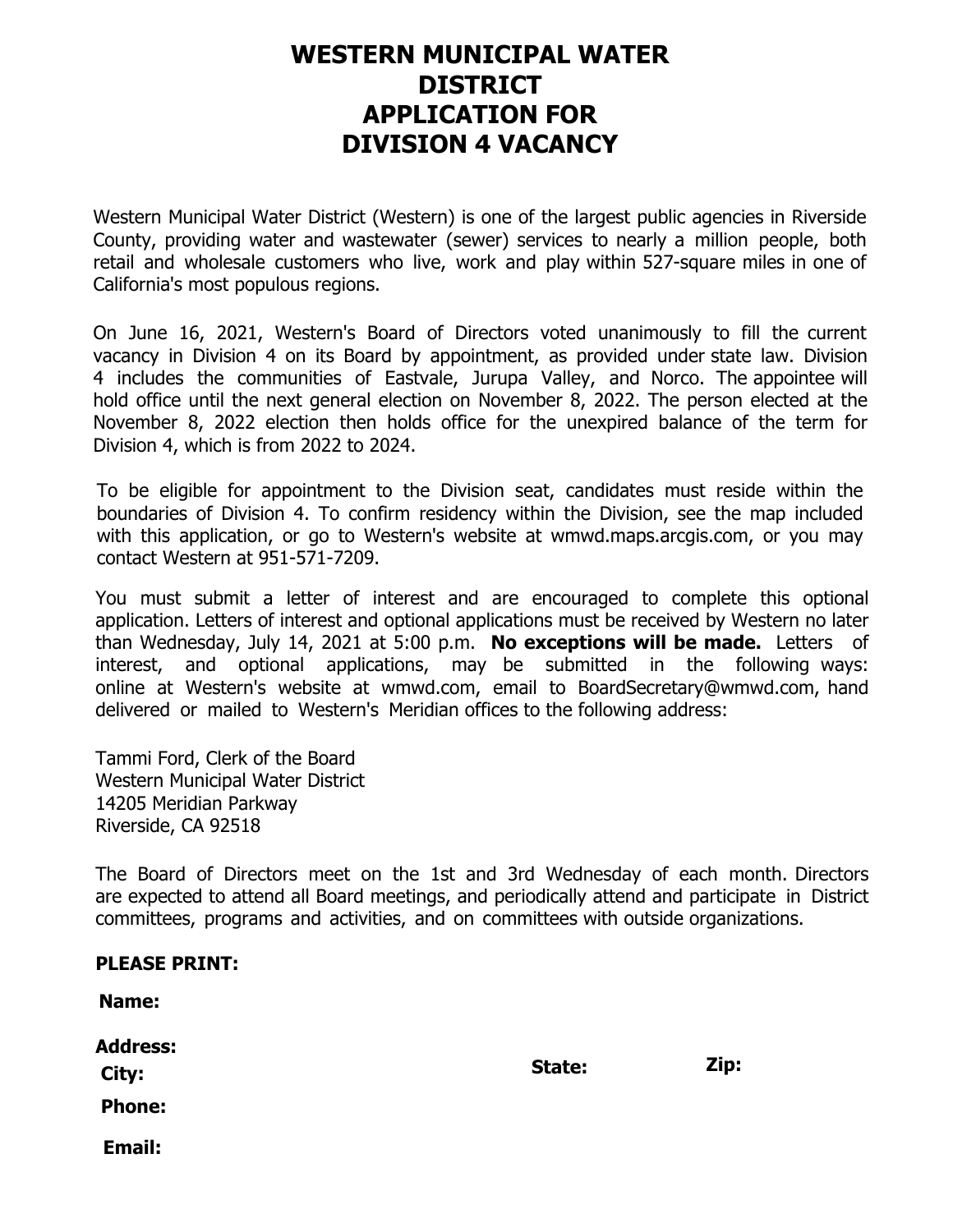### **WESTERN MUNICIPAL WATER DISTRICT APPLICATION FOR DIVISION 4 VACANCY**

Western Municipal Water District (Western) is one of the largest public agencies in Riverside County, providing water and wastewater (sewer) services to nearly a million people, both retail and wholesale customers who live, work and play within 527-square miles in one of California's most populous regions.

On June 16, 2021, Western's Board of Directors voted unanimously to fill the current vacancy in Division 4 on its Board by appointment, as provided under state law. Division 4 includes the communities of Eastvale, Jurupa Valley, and Norco. The appointee will hold office until the next general election on November 8, 2022. The person elected at the November 8, 2022 election then holds office for the unexpired balance of the term for Division 4, which is from 2022 to 2024.

To be eligible for appointment to the Division seat, candidates must reside within the boundaries of Division 4. To confirm residency within the Division, see the map included with this application, or go to Western's website at wmwd.maps.arcgis.com, or you may contact Western at 951-571-7209.

You must submit a letter of interest and are encouraged to complete this optional application. Letters of interest and optional applications must be received by Western no later than Wednesday, July 14, 2021 at 5:00 p.m. **No exceptions will be made.** Letters of interest, and optional applications, may be submitted in the following ways: online at Western's website at wmwd.com, email to BoardSecretary@wmwd.com, hand delivered or mailed to Western's Meridian offices to the following address:

Tammi Ford, Clerk of the Board Western Municipal Water District 14205 Meridian Parkway Riverside, CA 92518

The Board of Directors meet on the 1st and 3rd Wednesday of each month. Directors are expected to attend all Board meetings, and periodically attend and participate in District committees, programs and activities, and on committees with outside organizations.

| <b>PLEASE PRINT:</b>   |        |      |
|------------------------|--------|------|
| <b>Name:</b>           |        |      |
| <b>Address:</b>        | State: | Zip: |
| City:<br><b>Phone:</b> |        |      |
| <b>Email:</b>          |        |      |
|                        |        |      |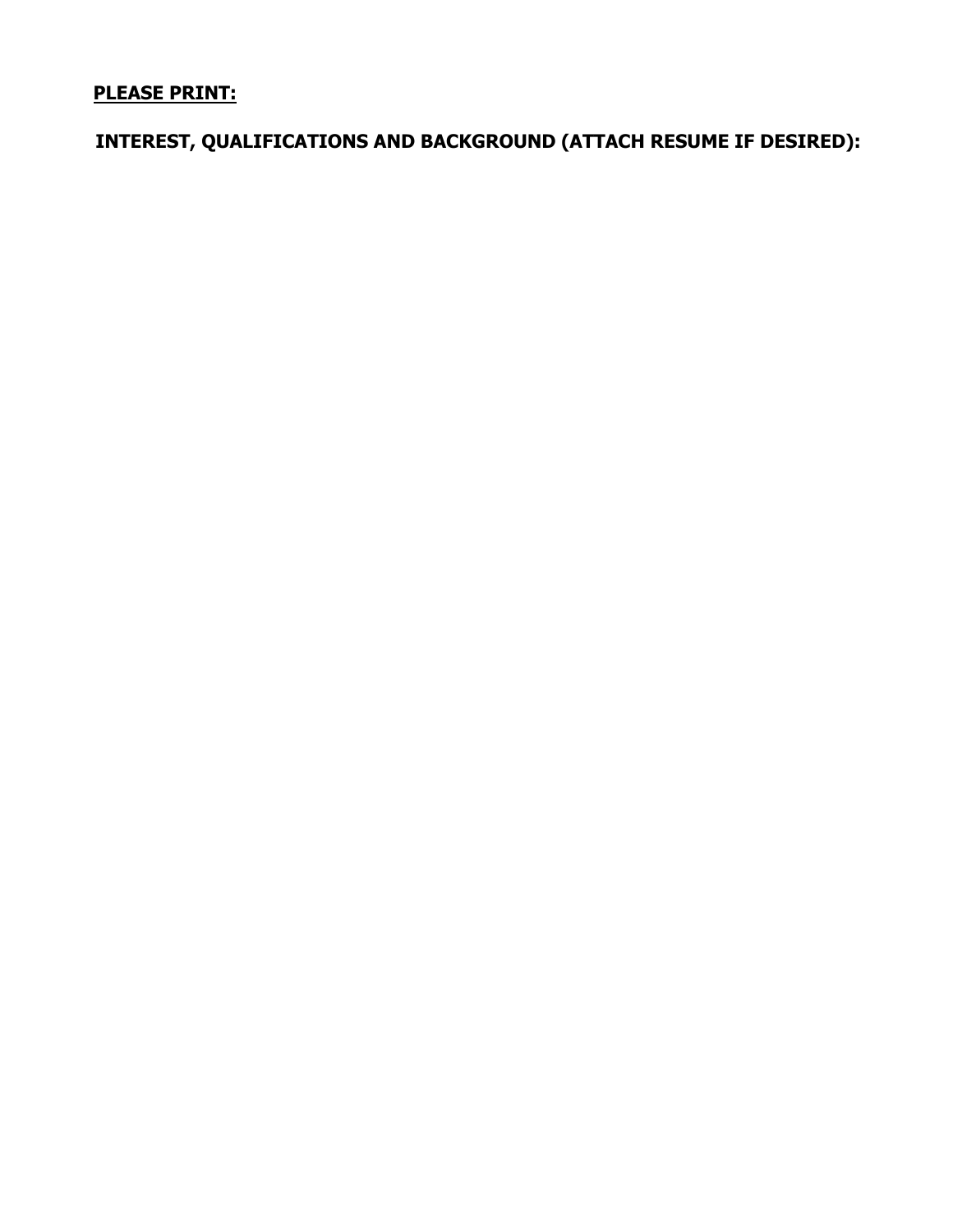### **PLEASE PRINT:**

**INTEREST, QUALIFICATIONS AND BACKGROUND (ATTACH RESUME IF DESIRED):**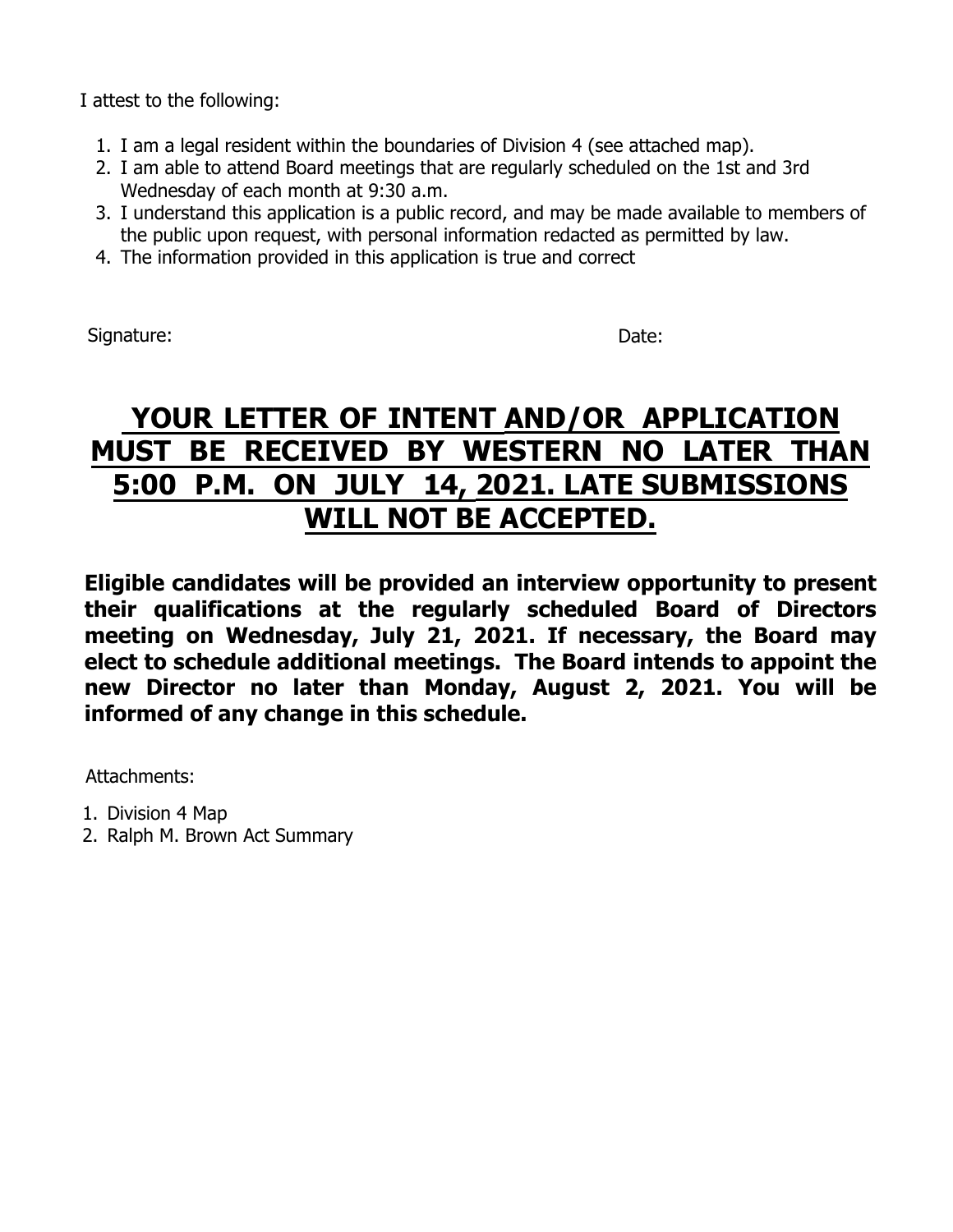I attest to the following:

- 1. I am a legal resident within the boundaries of Division 4 (see attached map).
- 2. I am able to attend Board meetings that are regularly scheduled on the 1st and 3rd Wednesday of each month at 9:30 a.m.
- 3. I understand this application is a public record, and may be made available to members of the public upon request, with personal information redacted as permitted by law.
- 4. The information provided in this application is true and correct

Signature: Date: Date: Date: Date: Date: Date: Date: Date: Date: Date: Date: Date: Date: Date: Date: Date: Date: Date: Date: Date: Date: Date: Date: Date: Date: Date: Date: Date: Date: Date: Date: Date: Date: Date: Date: D

### **YOUR LETTER OF INTENT AND/OR APPLICATION MUST BE RECEIVED BY WESTERN NO LATER THAN 5:00 P.M. ON JULY 14, 2021. LATE SUBMISSIONS WILL NOT BE ACCEPTED.**

**Eligible candidates will be provided an interview opportunity to present their qualifications at the regularly scheduled Board of Directors meeting on Wednesday, July 21, 2021. If necessary, the Board may elect to schedule additional meetings. The Board intends to appoint the new Director no later than Monday, August 2, 2021. You will be informed of any change in this schedule.**

Attachments:

- 1. Division 4 Map
- 2. Ralph M. Brown Act Summary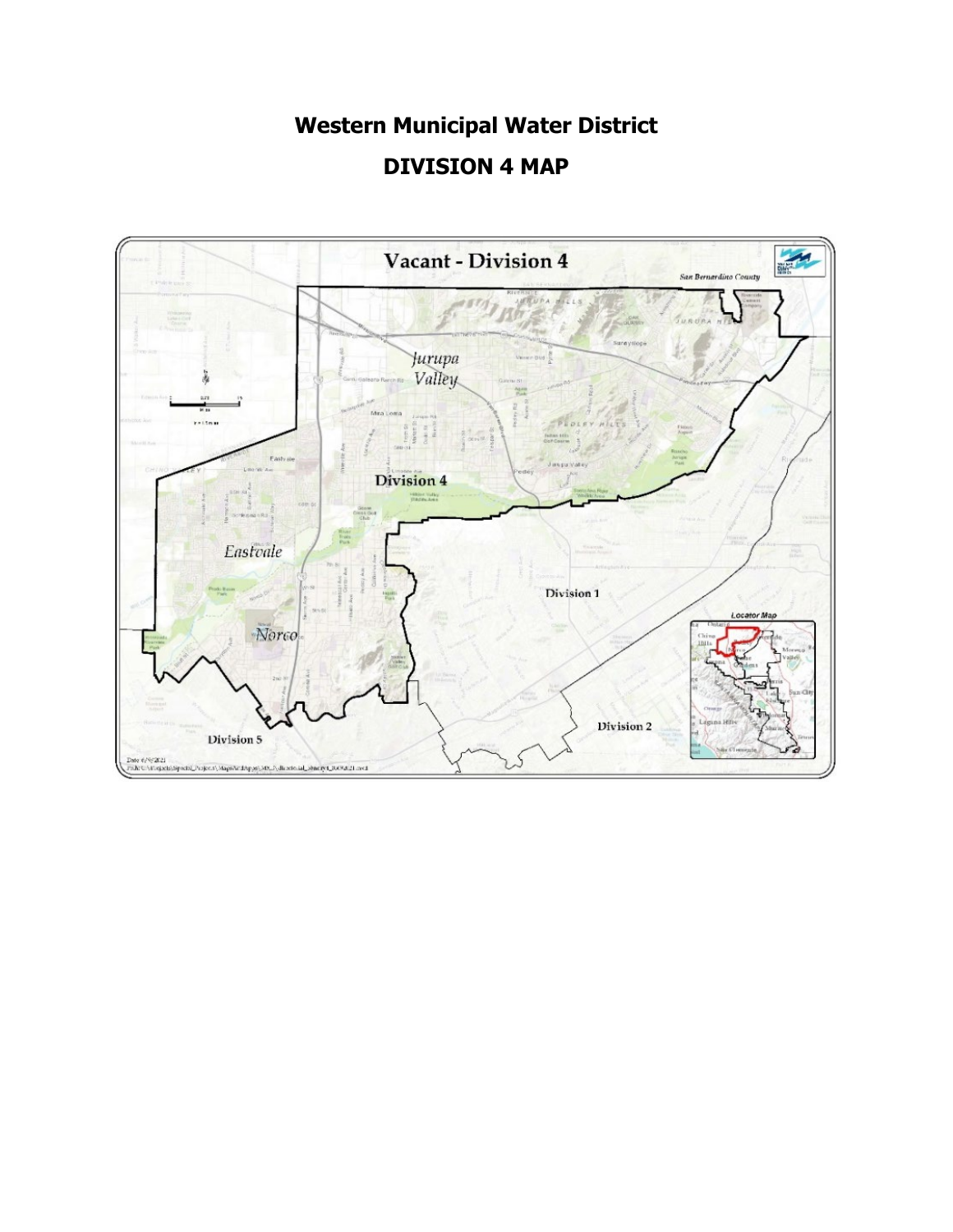## **Western Municipal Water District DIVISION 4 MAP**